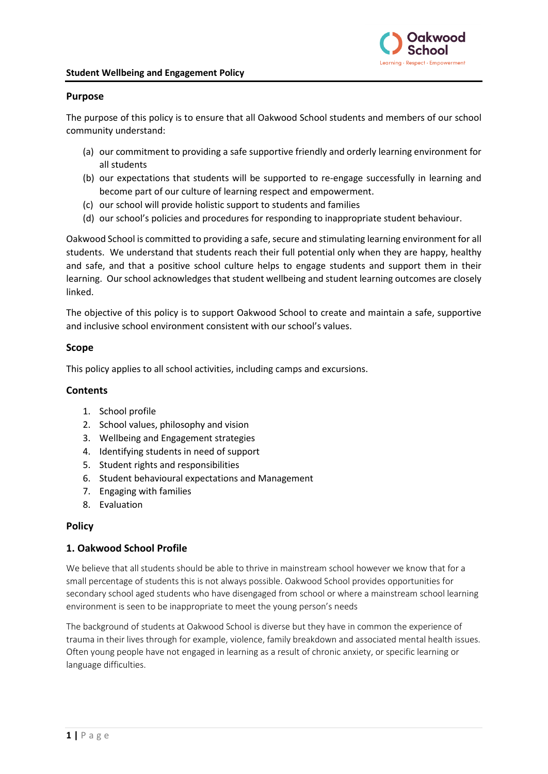

#### **Purpose**

The purpose of this policy is to ensure that all Oakwood School students and members of our school community understand:

- (a) our commitment to providing a safe supportive friendly and orderly learning environment for all students
- (b) our expectations that students will be supported to re-engage successfully in learning and become part of our culture of learning respect and empowerment.
- (c) our school will provide holistic support to students and families
- (d) our school's policies and procedures for responding to inappropriate student behaviour.

Oakwood School is committed to providing a safe, secure and stimulating learning environment for all students. We understand that students reach their full potential only when they are happy, healthy and safe, and that a positive school culture helps to engage students and support them in their learning. Our school acknowledges that student wellbeing and student learning outcomes are closely linked.

The objective of this policy is to support Oakwood School to create and maintain a safe, supportive and inclusive school environment consistent with our school's values.

## **Scope**

This policy applies to all school activities, including camps and excursions.

#### **Contents**

- 1. School profile
- 2. School values, philosophy and vision
- 3. Wellbeing and Engagement strategies
- 4. Identifying students in need of support
- 5. Student rights and responsibilities
- 6. Student behavioural expectations and Management
- 7. Engaging with families
- 8. Evaluation

## **Policy**

## **1. Oakwood School Profile**

We believe that all students should be able to thrive in mainstream school however we know that for a small percentage of students this is not always possible. Oakwood School provides opportunities for secondary school aged students who have disengaged from school or where a mainstream school learning environment is seen to be inappropriate to meet the young person's needs

The background of students at Oakwood School is diverse but they have in common the experience of trauma in their lives through for example, violence, family breakdown and associated mental health issues. Often young people have not engaged in learning as a result of chronic anxiety, or specific learning or language difficulties.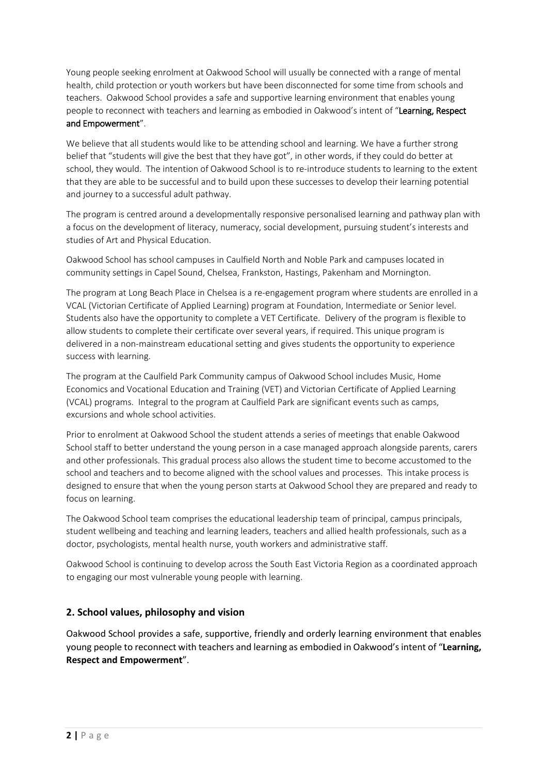Young people seeking enrolment at Oakwood School will usually be connected with a range of mental health, child protection or youth workers but have been disconnected for some time from schools and teachers. Oakwood School provides a safe and supportive learning environment that enables young people to reconnect with teachers and learning as embodied in Oakwood's intent of "Learning, Respect and Empowerment".

We believe that all students would like to be attending school and learning. We have a further strong belief that "students will give the best that they have got", in other words, if they could do better at school, they would. The intention of Oakwood School is to re-introduce students to learning to the extent that they are able to be successful and to build upon these successes to develop their learning potential and journey to a successful adult pathway.

The program is centred around a developmentally responsive personalised learning and pathway plan with a focus on the development of literacy, numeracy, social development, pursuing student's interests and studies of Art and Physical Education.

Oakwood School has school campuses in Caulfield North and Noble Park and campuses located in community settings in Capel Sound, Chelsea, Frankston, Hastings, Pakenham and Mornington.

The program at Long Beach Place in Chelsea is a re-engagement program where students are enrolled in a VCAL (Victorian Certificate of Applied Learning) program at Foundation, Intermediate or Senior level. Students also have the opportunity to complete a VET Certificate. Delivery of the program is flexible to allow students to complete their certificate over several years, if required. This unique program is delivered in a non-mainstream educational setting and gives students the opportunity to experience success with learning.

The program at the Caulfield Park Community campus of Oakwood School includes Music, Home Economics and Vocational Education and Training (VET) and Victorian Certificate of Applied Learning (VCAL) programs. Integral to the program at Caulfield Park are significant events such as camps, excursions and whole school activities.

Prior to enrolment at Oakwood School the student attends a series of meetings that enable Oakwood School staff to better understand the young person in a case managed approach alongside parents, carers and other professionals. This gradual process also allows the student time to become accustomed to the school and teachers and to become aligned with the school values and processes. This intake process is designed to ensure that when the young person starts at Oakwood School they are prepared and ready to focus on learning.

The Oakwood School team comprises the educational leadership team of principal, campus principals, student wellbeing and teaching and learning leaders, teachers and allied health professionals, such as a doctor, psychologists, mental health nurse, youth workers and administrative staff.

Oakwood School is continuing to develop across the South East Victoria Region as a coordinated approach to engaging our most vulnerable young people with learning.

## **2. School values, philosophy and vision**

Oakwood School provides a safe, supportive, friendly and orderly learning environment that enables young people to reconnect with teachers and learning as embodied in Oakwood's intent of "**Learning, Respect and Empowerment**".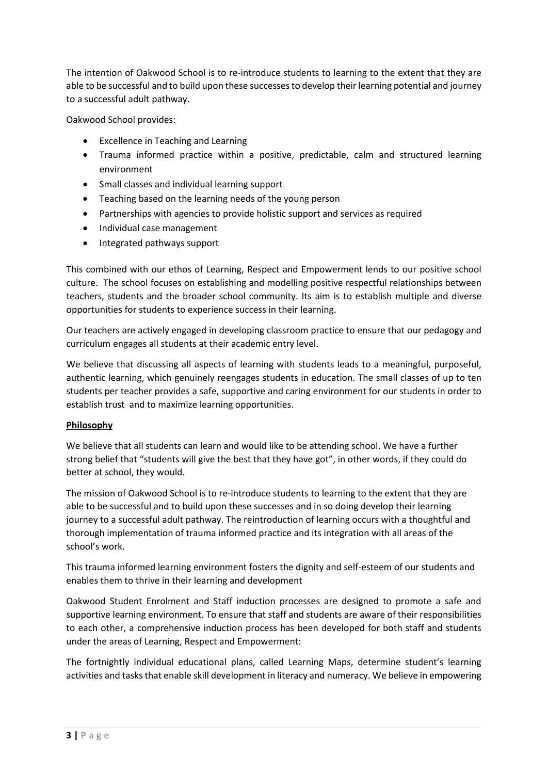The intention of Oakwood School is to re-introduce students to learning to the extent that they are able to be successful and to build upon these successes to develop their learning potential and journey to a successful adult pathway.

Oakwood School provides:

- Excellence in Teaching and Learning
- Trauma informed practice within a positive, predictable, calm and structured learning environment
- Small classes and individual learning support
- Teaching based on the learning needs of the young person
- Partnerships with agencies to provide holistic support and services as required
- Individual case management
- Integrated pathways support

This combined with our ethos of Learning, Respect and Empowerment lends to our positive school culture. The school focuses on establishing and modelling positive respectful relationships between teachers, students and the broader school community. Its aim is to establish multiple and diverse opportunities for students to experience success in their learning.

Our teachers are actively engaged in developing classroom practice to ensure that our pedagogy and curriculum engages all students at their academic entry level.

We believe that discussing all aspects of learning with students leads to a meaningful, purposeful, authentic learning, which genuinely reengages students in education. The small classes of up to ten students per teacher provides a safe, supportive and caring environment for our students in order to establish trust and to maximize learning opportunities.

## **Philosophy**

We believe that all students can learn and would like to be attending school. We have a further strong belief that "students will give the best that they have got", in other words, if they could do better at school, they would.

The mission of Oakwood School is to re-introduce students to learning to the extent that they are able to be successful and to build upon these successes and in so doing develop their learning journey to a successful adult pathway. The reintroduction of learning occurs with a thoughtful and thorough implementation of trauma informed practice and its integration with all areas of the school's work.

This trauma informed learning environment fosters the dignity and self-esteem of our students and enables them to thrive in their learning and development

Oakwood Student Enrolment and Staff induction processes are designed to promote a safe and supportive learning environment. To ensure that staff and students are aware of their responsibilities to each other, a comprehensive induction process has been developed for both staff and students under the areas of Learning, Respect and Empowerment:

The fortnightly individual educational plans, called Learning Maps, determine student's learning activities and tasks that enable skill development in literacy and numeracy. We believe in empowering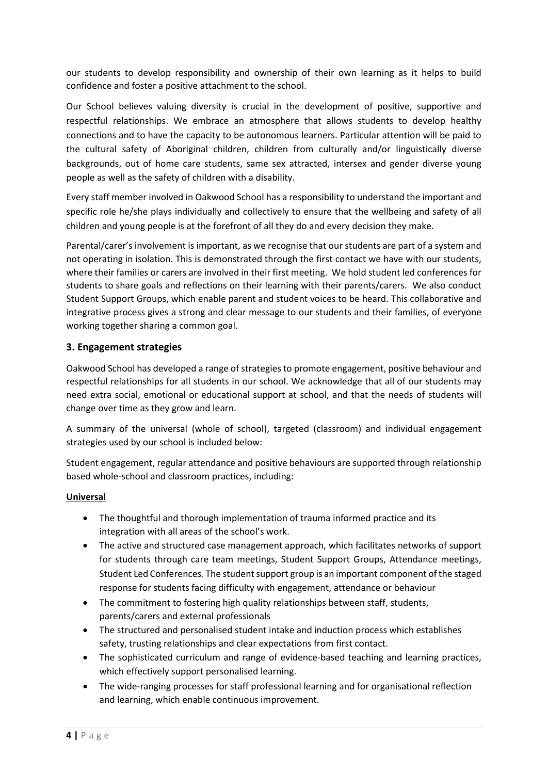our students to develop responsibility and ownership of their own learning as it helps to build confidence and foster a positive attachment to the school.

Our School believes valuing diversity is crucial in the development of positive, supportive and respectful relationships. We embrace an atmosphere that allows students to develop healthy connections and to have the capacity to be autonomous learners. Particular attention will be paid to the cultural safety of Aboriginal children, children from culturally and/or linguistically diverse backgrounds, out of home care students, same sex attracted, intersex and gender diverse young people as well as the safety of children with a disability.

Every staff member involved in Oakwood School has a responsibility to understand the important and specific role he/she plays individually and collectively to ensure that the wellbeing and safety of all children and young people is at the forefront of all they do and every decision they make.

Parental/carer's involvement is important, as we recognise that our students are part of a system and not operating in isolation. This is demonstrated through the first contact we have with our students, where their families or carers are involved in their first meeting. We hold student led conferences for students to share goals and reflections on their learning with their parents/carers. We also conduct Student Support Groups, which enable parent and student voices to be heard. This collaborative and integrative process gives a strong and clear message to our students and their families, of everyone working together sharing a common goal.

## **3. Engagement strategies**

Oakwood School has developed a range of strategies to promote engagement, positive behaviour and respectful relationships for all students in our school. We acknowledge that all of our students may need extra social, emotional or educational support at school, and that the needs of students will change over time as they grow and learn.

A summary of the universal (whole of school), targeted (classroom) and individual engagement strategies used by our school is included below:

Student engagement, regular attendance and positive behaviours are supported through relationship based whole-school and classroom practices, including:

## **Universal**

- The thoughtful and thorough implementation of trauma informed practice and its integration with all areas of the school's work.
- The active and structured case management approach, which facilitates networks of support for students through care team meetings, Student Support Groups, Attendance meetings, Student Led Conferences*.* The student support group is an important component of the staged response for students facing difficulty with engagement, attendance or behaviour
- The commitment to fostering high quality relationships between staff, students, parents/carers and external professionals
- The structured and personalised student intake and induction process which establishes safety, trusting relationships and clear expectations from first contact.
- The sophisticated curriculum and range of evidence-based teaching and learning practices, which effectively support personalised learning.
- The wide-ranging processes for staff professional learning and for organisational reflection and learning, which enable continuous improvement.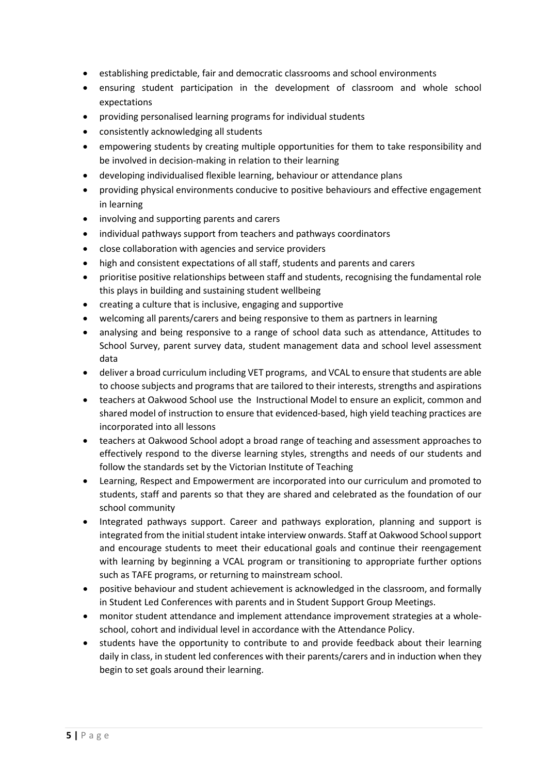- establishing predictable, fair and democratic classrooms and school environments
- ensuring student participation in the development of classroom and whole school expectations
- providing personalised learning programs for individual students
- consistently acknowledging all students
- empowering students by creating multiple opportunities for them to take responsibility and be involved in decision-making in relation to their learning
- developing individualised flexible learning, behaviour or attendance plans
- providing physical environments conducive to positive behaviours and effective engagement in learning
- involving and supporting parents and carers
- individual pathways support from teachers and pathways coordinators
- close collaboration with agencies and service providers
- high and consistent expectations of all staff, students and parents and carers
- prioritise positive relationships between staff and students, recognising the fundamental role this plays in building and sustaining student wellbeing
- creating a culture that is inclusive, engaging and supportive
- welcoming all parents/carers and being responsive to them as partners in learning
- analysing and being responsive to a range of school data such as attendance, Attitudes to School Survey, parent survey data, student management data and school level assessment data
- deliver a broad curriculum including VET programs, and VCAL to ensure that students are able to choose subjects and programs that are tailored to their interests, strengths and aspirations
- teachers at Oakwood School use the Instructional Model to ensure an explicit, common and shared model of instruction to ensure that evidenced-based, high yield teaching practices are incorporated into all lessons
- teachers at Oakwood School adopt a broad range of teaching and assessment approaches to effectively respond to the diverse learning styles, strengths and needs of our students and follow the standards set by the Victorian Institute of Teaching
- Learning, Respect and Empowerment are incorporated into our curriculum and promoted to students, staff and parents so that they are shared and celebrated as the foundation of our school community
- Integrated pathways support. Career and pathways exploration, planning and support is integrated from the initial student intake interview onwards. Staff at Oakwood School support and encourage students to meet their educational goals and continue their reengagement with learning by beginning a VCAL program or transitioning to appropriate further options such as TAFE programs, or returning to mainstream school.
- positive behaviour and student achievement is acknowledged in the classroom, and formally in Student Led Conferences with parents and in Student Support Group Meetings.
- monitor student attendance and implement attendance improvement strategies at a wholeschool, cohort and individual level in accordance with the Attendance Policy.
- students have the opportunity to contribute to and provide feedback about their learning daily in class, in student led conferences with their parents/carers and in induction when they begin to set goals around their learning.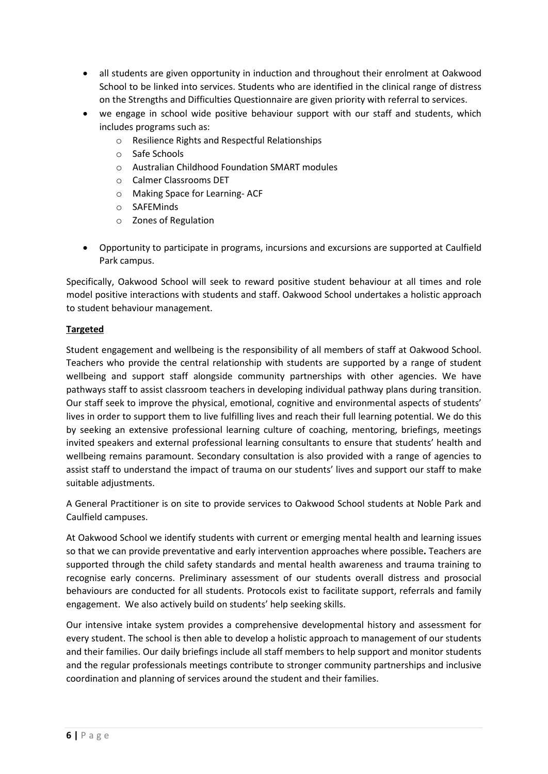- all students are given opportunity in induction and throughout their enrolment at Oakwood School to be linked into services. Students who are identified in the clinical range of distress on the Strengths and Difficulties Questionnaire are given priority with referral to services.
- we engage in school wide positive behaviour support with our staff and students, which includes programs such as:
	- o Resilience Rights and Respectful Relationships
	- o Safe Schools
	- o Australian Childhood Foundation SMART modules
	- o Calmer Classrooms DET
	- o Making Space for Learning- ACF
	- o SAFEMinds
	- o Zones of Regulation
- Opportunity to participate in programs, incursions and excursions are supported at Caulfield Park campus.

Specifically, Oakwood School will seek to reward positive student behaviour at all times and role model positive interactions with students and staff. Oakwood School undertakes a holistic approach to student behaviour management.

## **Targeted**

Student engagement and wellbeing is the responsibility of all members of staff at Oakwood School. Teachers who provide the central relationship with students are supported by a range of student wellbeing and support staff alongside community partnerships with other agencies. We have pathways staff to assist classroom teachers in developing individual pathway plans during transition. Our staff seek to improve the physical, emotional, cognitive and environmental aspects of students' lives in order to support them to live fulfilling lives and reach their full learning potential. We do this by seeking an extensive professional learning culture of coaching, mentoring, briefings, meetings invited speakers and external professional learning consultants to ensure that students' health and wellbeing remains paramount. Secondary consultation is also provided with a range of agencies to assist staff to understand the impact of trauma on our students' lives and support our staff to make suitable adjustments.

A General Practitioner is on site to provide services to Oakwood School students at Noble Park and Caulfield campuses.

At Oakwood School we identify students with current or emerging mental health and learning issues so that we can provide preventative and early intervention approaches where possible**.** Teachers are supported through the child safety standards and mental health awareness and trauma training to recognise early concerns. Preliminary assessment of our students overall distress and prosocial behaviours are conducted for all students. Protocols exist to facilitate support, referrals and family engagement. We also actively build on students' help seeking skills.

Our intensive intake system provides a comprehensive developmental history and assessment for every student. The school is then able to develop a holistic approach to management of our students and their families. Our daily briefings include all staff members to help support and monitor students and the regular professionals meetings contribute to stronger community partnerships and inclusive coordination and planning of services around the student and their families.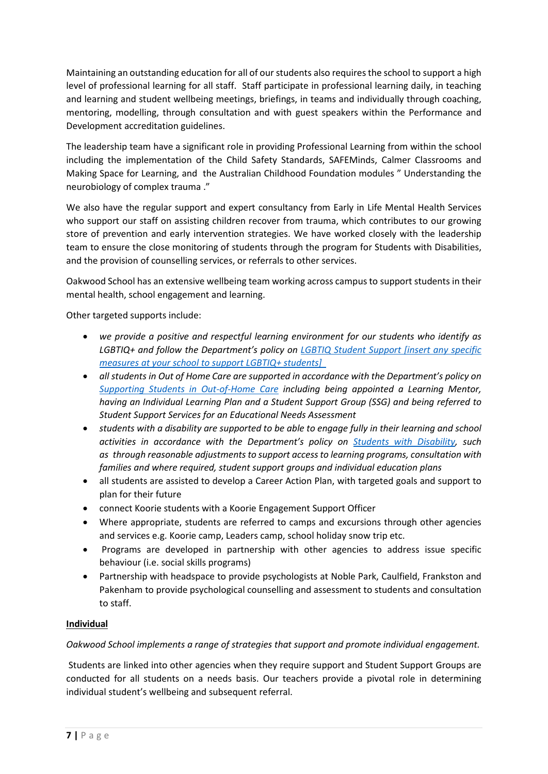Maintaining an outstanding education for all of our students also requires the school to support a high level of professional learning for all staff. Staff participate in professional learning daily, in teaching and learning and student wellbeing meetings, briefings, in teams and individually through coaching, mentoring, modelling, through consultation and with guest speakers within the Performance and Development accreditation guidelines.

The leadership team have a significant role in providing Professional Learning from within the school including the implementation of the Child Safety Standards, SAFEMinds, Calmer Classrooms and Making Space for Learning, and the Australian Childhood Foundation modules " Understanding the neurobiology of complex trauma ."

We also have the regular support and expert consultancy from Early in Life Mental Health Services who support our staff on assisting children recover from trauma, which contributes to our growing store of prevention and early intervention strategies. We have worked closely with the leadership team to ensure the close monitoring of students through the program for Students with Disabilities, and the provision of counselling services, or referrals to other services.

Oakwood School has an extensive wellbeing team working across campus to support students in their mental health, school engagement and learning.

Other targeted supports include:

- *we provide a positive and respectful learning environment for our students who identify as LGBTIQ+ and follow the Department's policy on [LGBTIQ Student Support \[insert any specific](https://www2.education.vic.gov.au/pal/lgbtiq-student-support/policy)  [measures at your school to support LGBTIQ+ students\]](https://www2.education.vic.gov.au/pal/lgbtiq-student-support/policy)*
- *all students in Out of Home Care are supported in accordance with the Department's policy on [Supporting Students in Out-of-Home Care](https://www2.education.vic.gov.au/pal/supporting-students-out-home-care/policy) including being appointed a Learning Mentor, having an Individual Learning Plan and a Student Support Group (SSG) and being referred to Student Support Services for an Educational Needs Assessment*
- *students with a disability are supported to be able to engage fully in their learning and school activities in accordance with the Department's policy on [Students with Disability,](https://www2.education.vic.gov.au/pal/students-disability/policy) such as through reasonable adjustments to support access to learning programs, consultation with families and where required, student support groups and individual education plans*
- all students are assisted to develop a Career Action Plan, with targeted goals and support to plan for their future
- connect Koorie students with a Koorie Engagement Support Officer
- Where appropriate, students are referred to camps and excursions through other agencies and services e.g. Koorie camp, Leaders camp, school holiday snow trip etc.
- Programs are developed in partnership with other agencies to address issue specific behaviour (i.e. social skills programs)
- Partnership with headspace to provide psychologists at Noble Park, Caulfield, Frankston and Pakenham to provide psychological counselling and assessment to students and consultation to staff.

## **Individual**

*Oakwood School implements a range of strategies that support and promote individual engagement.*

Students are linked into other agencies when they require support and Student Support Groups are conducted for all students on a needs basis. Our teachers provide a pivotal role in determining individual student's wellbeing and subsequent referral.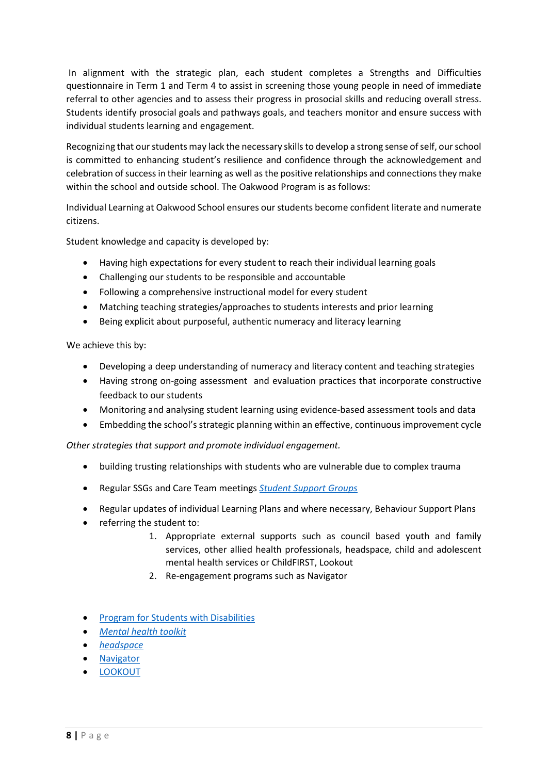In alignment with the strategic plan, each student completes a Strengths and Difficulties questionnaire in Term 1 and Term 4 to assist in screening those young people in need of immediate referral to other agencies and to assess their progress in prosocial skills and reducing overall stress. Students identify prosocial goals and pathways goals, and teachers monitor and ensure success with individual students learning and engagement.

Recognizing that our students may lack the necessary skills to develop a strong sense of self, our school is committed to enhancing student's resilience and confidence through the acknowledgement and celebration of success in their learning as well as the positive relationships and connections they make within the school and outside school. The Oakwood Program is as follows:

Individual Learning at Oakwood School ensures our students become confident literate and numerate citizens.

Student knowledge and capacity is developed by:

- Having high expectations for every student to reach their individual learning goals
- Challenging our students to be responsible and accountable
- Following a comprehensive instructional model for every student
- Matching teaching strategies/approaches to students interests and prior learning
- Being explicit about purposeful, authentic numeracy and literacy learning

We achieve this by:

- Developing a deep understanding of numeracy and literacy content and teaching strategies
- Having strong on-going assessment and evaluation practices that incorporate constructive feedback to our students
- Monitoring and analysing student learning using evidence-based assessment tools and data
- Embedding the school's strategic planning within an effective, continuous improvement cycle

*Other strategies that support and promote individual engagement.* 

- building trusting relationships with students who are vulnerable due to complex trauma
- Regular SSGs and Care Team meetings *[Student Support Groups](https://www2.education.vic.gov.au/pal/student-support-groups/policy)*
- Regular updates of individual Learning Plans and where necessary, Behaviour Support Plans
- referring the student to:
	- 1. Appropriate external supports such as council based youth and family services, other allied health professionals, headspace, child and adolescent mental health services or ChildFIRST, Lookout
	- 2. Re-engagement programs such as Navigator
- [Program for Students with Disabilities](https://www.education.vic.gov.au/school/teachers/learningneeds/Pages/psd.aspx)
- *[Mental health toolkit](https://www.education.vic.gov.au/school/teachers/health/mentalhealth/Pages/mentalhealthtoolkit.aspx)*
- *[headspace](https://www.education.vic.gov.au/school/teachers/health/mentalhealth/Pages/headspace-counselling-secondary.aspx)*
- [Navigator](https://www.education.vic.gov.au/school/teachers/behaviour/engagement/Pages/navigator.aspx)
- [LOOKOUT](https://www.education.vic.gov.au/about/programs/Pages/lookout.aspx)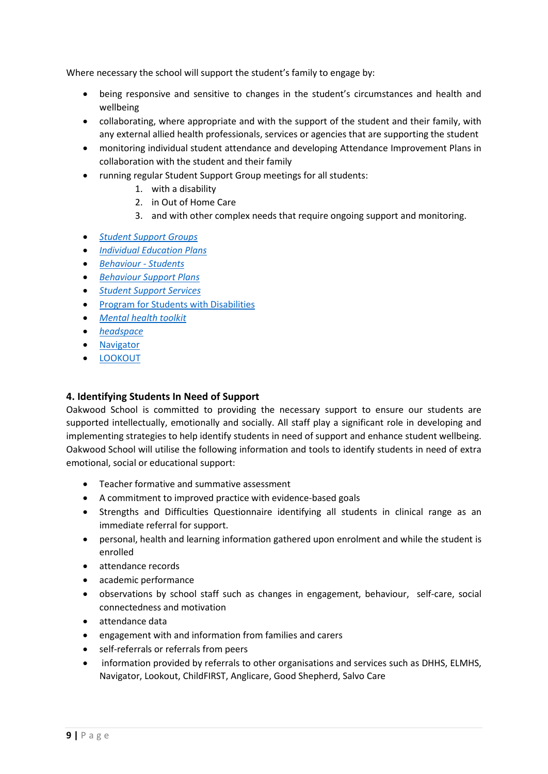Where necessary the school will support the student's family to engage by:

- being responsive and sensitive to changes in the student's circumstances and health and wellbeing
- collaborating, where appropriate and with the support of the student and their family, with any external allied health professionals, services or agencies that are supporting the student
- monitoring individual student attendance and developing Attendance Improvement Plans in collaboration with the student and their family
- running regular Student Support Group meetings for all students:
	- 1. with a disability
		- 2. in Out of Home Care
		- 3. and with other complex needs that require ongoing support and monitoring.
- *[Student Support Groups](https://www2.education.vic.gov.au/pal/student-support-groups/policy)*
- *[Individual Education Plans](https://www2.education.vic.gov.au/pal/individual-education-plans-ieps/policy)*
- *[Behaviour -](https://www2.education.vic.gov.au/pal/behaviour-students/policy) Students*
- *[Behaviour Support Plans](https://www2.education.vic.gov.au/pal/behaviour-students/guidance/6-behaviour-support-plans)*
- *[Student Support Services](https://www2.education.vic.gov.au/pal/student-support-services/policy)*
- [Program for Students with Disabilities](https://www.education.vic.gov.au/school/teachers/learningneeds/Pages/psd.aspx)
- *[Mental health toolkit](https://www.education.vic.gov.au/school/teachers/health/mentalhealth/Pages/mentalhealthtoolkit.aspx)*
- *[headspace](https://www.education.vic.gov.au/school/teachers/health/mentalhealth/Pages/headspace-counselling-secondary.aspx)*
- [Navigator](https://www.education.vic.gov.au/school/teachers/behaviour/engagement/Pages/navigator.aspx)
- [LOOKOUT](https://www.education.vic.gov.au/about/programs/Pages/lookout.aspx)

## **4. Identifying Students In Need of Support**

Oakwood School is committed to providing the necessary support to ensure our students are supported intellectually, emotionally and socially. All staff play a significant role in developing and implementing strategies to help identify students in need of support and enhance student wellbeing. Oakwood School will utilise the following information and tools to identify students in need of extra emotional, social or educational support:

- Teacher formative and summative assessment
- A commitment to improved practice with evidence-based goals
- Strengths and Difficulties Questionnaire identifying all students in clinical range as an immediate referral for support.
- personal, health and learning information gathered upon enrolment and while the student is enrolled
- attendance records
- academic performance
- observations by school staff such as changes in engagement, behaviour, self-care, social connectedness and motivation
- attendance data
- engagement with and information from families and carers
- self-referrals or referrals from peers
- information provided by referrals to other organisations and services such as DHHS, ELMHS, Navigator, Lookout, ChildFIRST, Anglicare, Good Shepherd, Salvo Care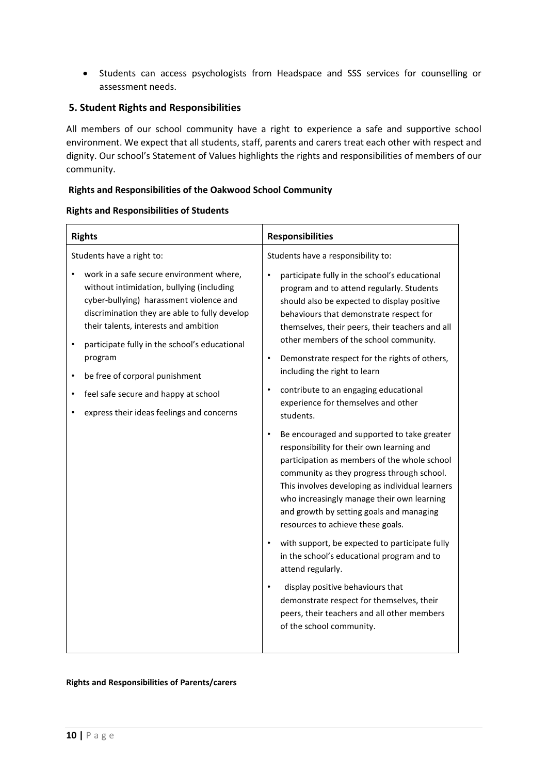• Students can access psychologists from Headspace and SSS services for counselling or assessment needs.

#### **5. Student Rights and Responsibilities**

All members of our school community have a right to experience a safe and supportive school environment. We expect that all students, staff, parents and carers treat each other with respect and dignity. Our school's Statement of Values highlights the rights and responsibilities of members of our community.

#### **Rights and Responsibilities of the Oakwood School Community**

#### **Rights and Responsibilities of Students**

| <b>Rights</b>                                                                                                                                                                                                                                                                    | <b>Responsibilities</b>                                                                                                                                                                                                                                                                                                                                                               |
|----------------------------------------------------------------------------------------------------------------------------------------------------------------------------------------------------------------------------------------------------------------------------------|---------------------------------------------------------------------------------------------------------------------------------------------------------------------------------------------------------------------------------------------------------------------------------------------------------------------------------------------------------------------------------------|
| Students have a right to:                                                                                                                                                                                                                                                        | Students have a responsibility to:                                                                                                                                                                                                                                                                                                                                                    |
| work in a safe secure environment where,<br>without intimidation, bullying (including<br>cyber-bullying) harassment violence and<br>discrimination they are able to fully develop<br>their talents, interests and ambition<br>participate fully in the school's educational<br>٠ | participate fully in the school's educational<br>٠<br>program and to attend regularly. Students<br>should also be expected to display positive<br>behaviours that demonstrate respect for<br>themselves, their peers, their teachers and all<br>other members of the school community.                                                                                                |
| program<br>be free of corporal punishment<br>$\bullet$                                                                                                                                                                                                                           | Demonstrate respect for the rights of others,<br>$\bullet$<br>including the right to learn                                                                                                                                                                                                                                                                                            |
| feel safe secure and happy at school<br>express their ideas feelings and concerns                                                                                                                                                                                                | contribute to an engaging educational<br>experience for themselves and other<br>students.                                                                                                                                                                                                                                                                                             |
|                                                                                                                                                                                                                                                                                  | Be encouraged and supported to take greater<br>$\bullet$<br>responsibility for their own learning and<br>participation as members of the whole school<br>community as they progress through school.<br>This involves developing as individual learners<br>who increasingly manage their own learning<br>and growth by setting goals and managing<br>resources to achieve these goals. |
|                                                                                                                                                                                                                                                                                  | with support, be expected to participate fully<br>in the school's educational program and to<br>attend regularly.                                                                                                                                                                                                                                                                     |
|                                                                                                                                                                                                                                                                                  | display positive behaviours that<br>demonstrate respect for themselves, their<br>peers, their teachers and all other members<br>of the school community.                                                                                                                                                                                                                              |

#### **Rights and Responsibilities of Parents/carers**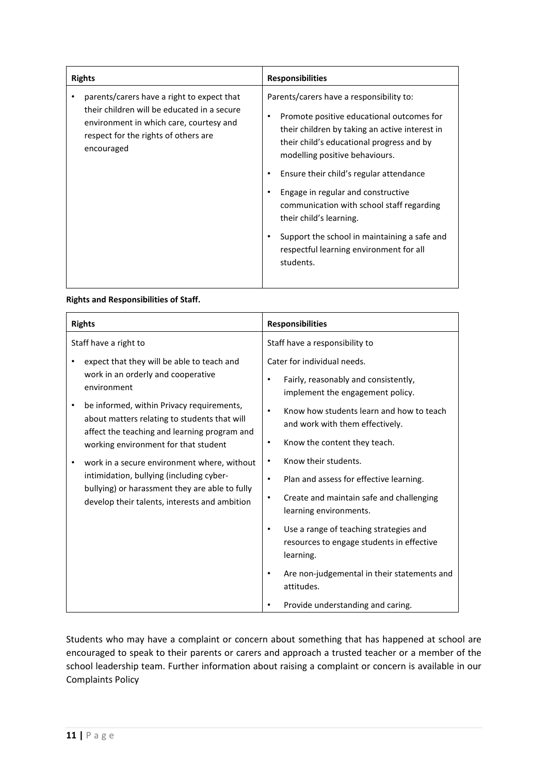| <b>Rights</b>                                                                                                                                                                              | <b>Responsibilities</b>                                                                                                                                                                                                                                                                                                                                                                                                                                                                 |
|--------------------------------------------------------------------------------------------------------------------------------------------------------------------------------------------|-----------------------------------------------------------------------------------------------------------------------------------------------------------------------------------------------------------------------------------------------------------------------------------------------------------------------------------------------------------------------------------------------------------------------------------------------------------------------------------------|
| parents/carers have a right to expect that<br>their children will be educated in a secure<br>environment in which care, courtesy and<br>respect for the rights of others are<br>encouraged | Parents/carers have a responsibility to:<br>Promote positive educational outcomes for<br>their children by taking an active interest in<br>their child's educational progress and by<br>modelling positive behaviours.<br>Ensure their child's regular attendance<br>Engage in regular and constructive<br>communication with school staff regarding<br>their child's learning.<br>Support the school in maintaining a safe and<br>respectful learning environment for all<br>students. |
|                                                                                                                                                                                            |                                                                                                                                                                                                                                                                                                                                                                                                                                                                                         |

#### **Rights and Responsibilities of Staff.**

| <b>Rights</b>                                                                                                                                                                              | <b>Responsibilities</b>                                                                                                                                              |
|--------------------------------------------------------------------------------------------------------------------------------------------------------------------------------------------|----------------------------------------------------------------------------------------------------------------------------------------------------------------------|
| Staff have a right to                                                                                                                                                                      | Staff have a responsibility to                                                                                                                                       |
| expect that they will be able to teach and<br>work in an orderly and cooperative<br>environment                                                                                            | Cater for individual needs.<br>Fairly, reasonably and consistently,<br>$\bullet$                                                                                     |
| be informed, within Privacy requirements,<br>about matters relating to students that will<br>affect the teaching and learning program and<br>working environment for that student          | implement the engagement policy.<br>Know how students learn and how to teach<br>$\bullet$<br>and work with them effectively.<br>Know the content they teach.<br>٠    |
| work in a secure environment where, without<br>intimidation, bullying (including cyber-<br>bullying) or harassment they are able to fully<br>develop their talents, interests and ambition | Know their students.<br>$\bullet$<br>Plan and assess for effective learning.<br>$\bullet$<br>Create and maintain safe and challenging<br>٠<br>learning environments. |
|                                                                                                                                                                                            | Use a range of teaching strategies and<br>$\bullet$<br>resources to engage students in effective<br>learning.                                                        |
|                                                                                                                                                                                            | Are non-judgemental in their statements and<br>$\bullet$<br>attitudes.                                                                                               |
|                                                                                                                                                                                            | Provide understanding and caring.                                                                                                                                    |

Students who may have a complaint or concern about something that has happened at school are encouraged to speak to their parents or carers and approach a trusted teacher or a member of the school leadership team. Further information about raising a complaint or concern is available in our Complaints Policy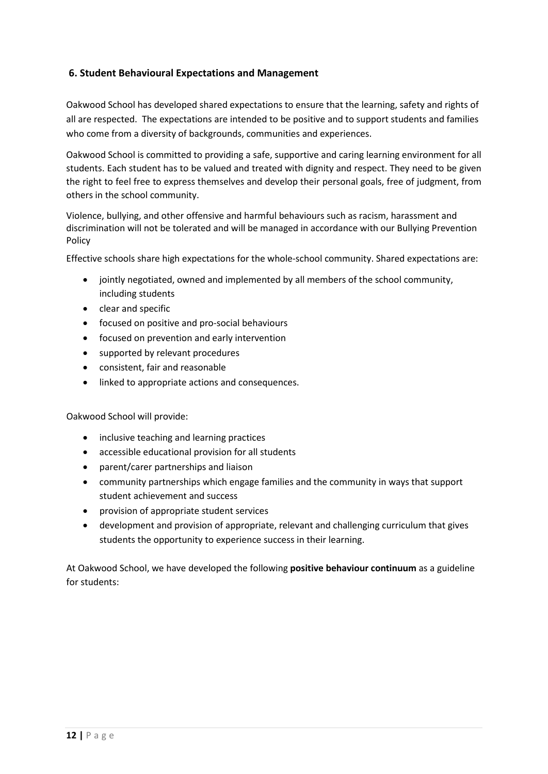## **6. Student Behavioural Expectations and Management**

Oakwood School has developed shared expectations to ensure that the learning, safety and rights of all are respected. The expectations are intended to be positive and to support students and families who come from a diversity of backgrounds, communities and experiences.

Oakwood School is committed to providing a safe, supportive and caring learning environment for all students. Each student has to be valued and treated with dignity and respect. They need to be given the right to feel free to express themselves and develop their personal goals, free of judgment, from others in the school community.

Violence, bullying, and other offensive and harmful behaviours such as racism, harassment and discrimination will not be tolerated and will be managed in accordance with our Bullying Prevention Policy

Effective schools share high expectations for the whole-school community. Shared expectations are:

- jointly negotiated, owned and implemented by all members of the school community, including students
- clear and specific
- focused on positive and pro-social behaviours
- focused on prevention and early intervention
- supported by relevant procedures
- consistent, fair and reasonable
- linked to appropriate actions and consequences.

Oakwood School will provide:

- inclusive teaching and learning practices
- accessible educational provision for all students
- parent/carer partnerships and liaison
- community partnerships which engage families and the community in ways that support student achievement and success
- provision of appropriate student services
- development and provision of appropriate, relevant and challenging curriculum that gives students the opportunity to experience success in their learning.

At Oakwood School, we have developed the following **positive behaviour continuum** as a guideline for students: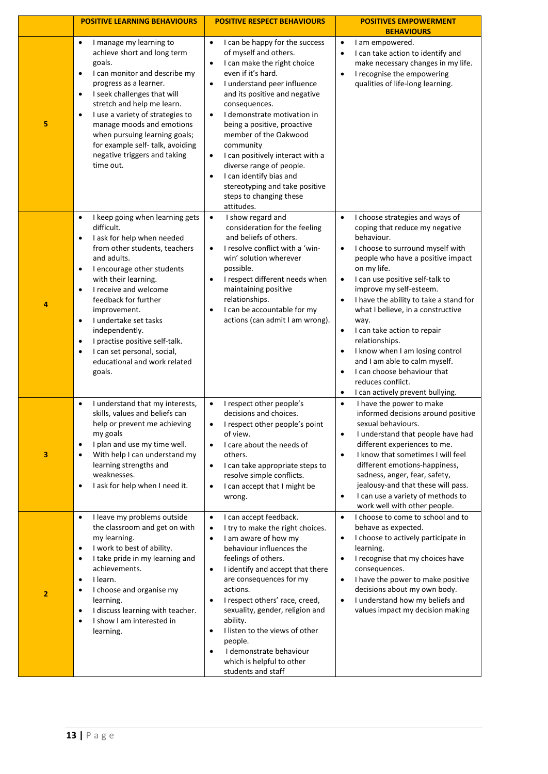|   | <b>POSITIVE LEARNING BEHAVIOURS</b>                                                                                                                                                                                                                                                                                                                                                                                                                                                                 | <b>POSITIVE RESPECT BEHAVIOURS</b>                                                                                                                                                                                                                                                                                                                                                                                                                                                                                                                    | <b>POSITIVES EMPOWERMENT</b><br><b>BEHAVIOURS</b>                                                                                                                                                                                                                                                                                                                                                                                                                                                                                                                                                                                                 |
|---|-----------------------------------------------------------------------------------------------------------------------------------------------------------------------------------------------------------------------------------------------------------------------------------------------------------------------------------------------------------------------------------------------------------------------------------------------------------------------------------------------------|-------------------------------------------------------------------------------------------------------------------------------------------------------------------------------------------------------------------------------------------------------------------------------------------------------------------------------------------------------------------------------------------------------------------------------------------------------------------------------------------------------------------------------------------------------|---------------------------------------------------------------------------------------------------------------------------------------------------------------------------------------------------------------------------------------------------------------------------------------------------------------------------------------------------------------------------------------------------------------------------------------------------------------------------------------------------------------------------------------------------------------------------------------------------------------------------------------------------|
| 5 | I manage my learning to<br>$\bullet$<br>achieve short and long term<br>goals.<br>I can monitor and describe my<br>$\bullet$<br>progress as a learner.<br>I seek challenges that will<br>$\bullet$<br>stretch and help me learn.<br>I use a variety of strategies to<br>$\bullet$<br>manage moods and emotions<br>when pursuing learning goals;<br>for example self-talk, avoiding<br>negative triggers and taking<br>time out.                                                                      | $\bullet$<br>I can be happy for the success<br>of myself and others.<br>I can make the right choice<br>$\bullet$<br>even if it's hard.<br>I understand peer influence<br>$\bullet$<br>and its positive and negative<br>consequences.<br>I demonstrate motivation in<br>$\bullet$<br>being a positive, proactive<br>member of the Oakwood<br>community<br>I can positively interact with a<br>$\bullet$<br>diverse range of people.<br>I can identify bias and<br>$\bullet$<br>stereotyping and take positive<br>steps to changing these<br>attitudes. | I am empowered.<br>$\bullet$<br>I can take action to identify and<br>$\bullet$<br>make necessary changes in my life.<br>I recognise the empowering<br>$\bullet$<br>qualities of life-long learning.                                                                                                                                                                                                                                                                                                                                                                                                                                               |
| 4 | I keep going when learning gets<br>$\bullet$<br>difficult.<br>I ask for help when needed<br>$\bullet$<br>from other students, teachers<br>and adults.<br>I encourage other students<br>$\bullet$<br>with their learning.<br>I receive and welcome<br>$\bullet$<br>feedback for further<br>improvement.<br>I undertake set tasks<br>$\bullet$<br>independently.<br>I practise positive self-talk.<br>$\bullet$<br>I can set personal, social,<br>$\bullet$<br>educational and work related<br>goals. | I show regard and<br>$\bullet$<br>consideration for the feeling<br>and beliefs of others.<br>I resolve conflict with a 'win-<br>$\bullet$<br>win' solution wherever<br>possible.<br>I respect different needs when<br>$\bullet$<br>maintaining positive<br>relationships.<br>I can be accountable for my<br>actions (can admit I am wrong).                                                                                                                                                                                                           | I choose strategies and ways of<br>$\bullet$<br>coping that reduce my negative<br>behaviour.<br>I choose to surround myself with<br>$\bullet$<br>people who have a positive impact<br>on my life.<br>I can use positive self-talk to<br>$\bullet$<br>improve my self-esteem.<br>I have the ability to take a stand for<br>$\bullet$<br>what I believe, in a constructive<br>way.<br>I can take action to repair<br>$\bullet$<br>relationships.<br>I know when I am losing control<br>$\bullet$<br>and I am able to calm myself.<br>I can choose behaviour that<br>$\bullet$<br>reduces conflict.<br>I can actively prevent bullying.<br>$\bullet$ |
| 3 | I understand that my interests,<br>$\bullet$<br>skills, values and beliefs can<br>help or prevent me achieving<br>my goals<br>I plan and use my time well.<br>$\bullet$<br>With help I can understand my<br>$\bullet$<br>learning strengths and<br>weaknesses.<br>I ask for help when I need it.<br>$\bullet$                                                                                                                                                                                       | I respect other people's<br>$\bullet$<br>decisions and choices.<br>I respect other people's point<br>$\bullet$<br>of view.<br>I care about the needs of<br>$\bullet$<br>others.<br>I can take appropriate steps to<br>$\bullet$<br>resolve simple conflicts.<br>I can accept that I might be<br>$\bullet$<br>wrong.                                                                                                                                                                                                                                   | I have the power to make<br>$\bullet$<br>informed decisions around positive<br>sexual behaviours.<br>I understand that people have had<br>$\bullet$<br>different experiences to me.<br>I know that sometimes I will feel<br>$\bullet$<br>different emotions-happiness,<br>sadness, anger, fear, safety,<br>jealousy-and that these will pass.<br>I can use a variety of methods to<br>$\bullet$<br>work well with other people.                                                                                                                                                                                                                   |
| 2 | I leave my problems outside<br>$\bullet$<br>the classroom and get on with<br>my learning.<br>I work to best of ability.<br>$\bullet$<br>I take pride in my learning and<br>$\bullet$<br>achievements.<br>I learn.<br>$\bullet$<br>I choose and organise my<br>$\bullet$<br>learning.<br>I discuss learning with teacher.<br>$\bullet$<br>I show I am interested in<br>$\bullet$<br>learning.                                                                                                        | I can accept feedback.<br>$\bullet$<br>I try to make the right choices.<br>$\bullet$<br>I am aware of how my<br>$\bullet$<br>behaviour influences the<br>feelings of others.<br>I identify and accept that there<br>$\bullet$<br>are consequences for my<br>actions.<br>I respect others' race, creed,<br>$\bullet$<br>sexuality, gender, religion and<br>ability.<br>I listen to the views of other<br>$\bullet$<br>people.<br>I demonstrate behaviour<br>$\bullet$<br>which is helpful to other<br>students and staff                               | I choose to come to school and to<br>$\bullet$<br>behave as expected.<br>I choose to actively participate in<br>$\bullet$<br>learning.<br>I recognise that my choices have<br>$\bullet$<br>consequences.<br>I have the power to make positive<br>$\bullet$<br>decisions about my own body.<br>I understand how my beliefs and<br>$\bullet$<br>values impact my decision making                                                                                                                                                                                                                                                                    |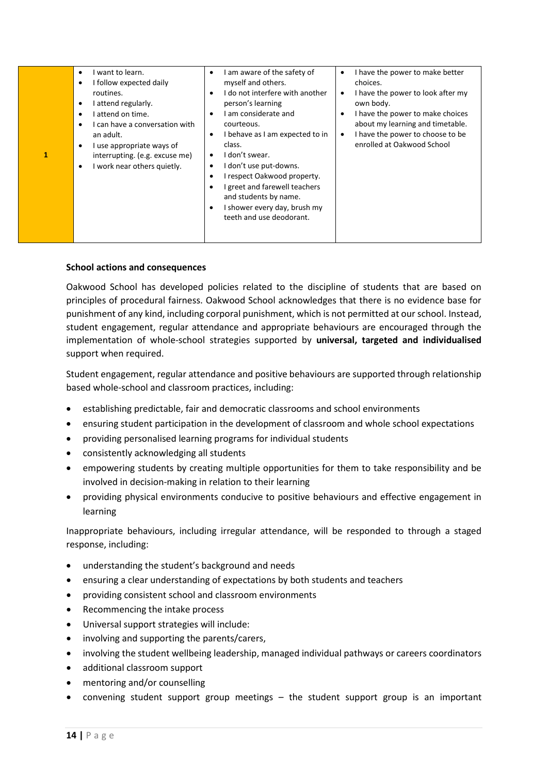| 1 | want to learn.<br>٠<br>I follow expected daily<br>routines.<br>I attend regularly.<br>attend on time.<br>I can have a conversation with<br>an adult.<br>I use appropriate ways of<br>interrupting. (e.g. excuse me)<br>I work near others quietly.<br>$\bullet$ | I am aware of the safety of<br>٠<br>myself and others.<br>I do not interfere with another<br>$\bullet$<br>person's learning<br>I am considerate and<br>٠<br>courteous.<br>I behave as I am expected to in<br>٠<br>class.<br>I don't swear.<br>I don't use put-downs.<br>٠<br>I respect Oakwood property.<br>٠<br>I greet and farewell teachers<br>and students by name.<br>I shower every day, brush my<br>teeth and use deodorant. | I have the power to make better<br>$\bullet$<br>choices.<br>I have the power to look after my<br>$\bullet$<br>own body.<br>I have the power to make choices<br>$\bullet$<br>about my learning and timetable.<br>I have the power to choose to be<br>$\bullet$<br>enrolled at Oakwood School |
|---|-----------------------------------------------------------------------------------------------------------------------------------------------------------------------------------------------------------------------------------------------------------------|-------------------------------------------------------------------------------------------------------------------------------------------------------------------------------------------------------------------------------------------------------------------------------------------------------------------------------------------------------------------------------------------------------------------------------------|---------------------------------------------------------------------------------------------------------------------------------------------------------------------------------------------------------------------------------------------------------------------------------------------|
|---|-----------------------------------------------------------------------------------------------------------------------------------------------------------------------------------------------------------------------------------------------------------------|-------------------------------------------------------------------------------------------------------------------------------------------------------------------------------------------------------------------------------------------------------------------------------------------------------------------------------------------------------------------------------------------------------------------------------------|---------------------------------------------------------------------------------------------------------------------------------------------------------------------------------------------------------------------------------------------------------------------------------------------|

#### **School actions and consequences**

Oakwood School has developed policies related to the discipline of students that are based on principles of procedural fairness. Oakwood School acknowledges that there is no evidence base for punishment of any kind, including corporal punishment, which is not permitted at our school. Instead, student engagement, regular attendance and appropriate behaviours are encouraged through the implementation of whole-school strategies supported by **universal, targeted and individualised** support when required.

Student engagement, regular attendance and positive behaviours are supported through relationship based whole-school and classroom practices, including:

- establishing predictable, fair and democratic classrooms and school environments
- ensuring student participation in the development of classroom and whole school expectations
- providing personalised learning programs for individual students
- consistently acknowledging all students
- empowering students by creating multiple opportunities for them to take responsibility and be involved in decision-making in relation to their learning
- providing physical environments conducive to positive behaviours and effective engagement in learning

Inappropriate behaviours, including irregular attendance, will be responded to through a staged response, including:

- understanding the student's background and needs
- ensuring a clear understanding of expectations by both students and teachers
- providing consistent school and classroom environments
- Recommencing the intake process
- Universal support strategies will include:
- involving and supporting the parents/carers,
- involving the student wellbeing leadership, managed individual pathways or careers coordinators
- additional classroom support
- mentoring and/or counselling
- convening student support group meetings  $-$  the student support group is an important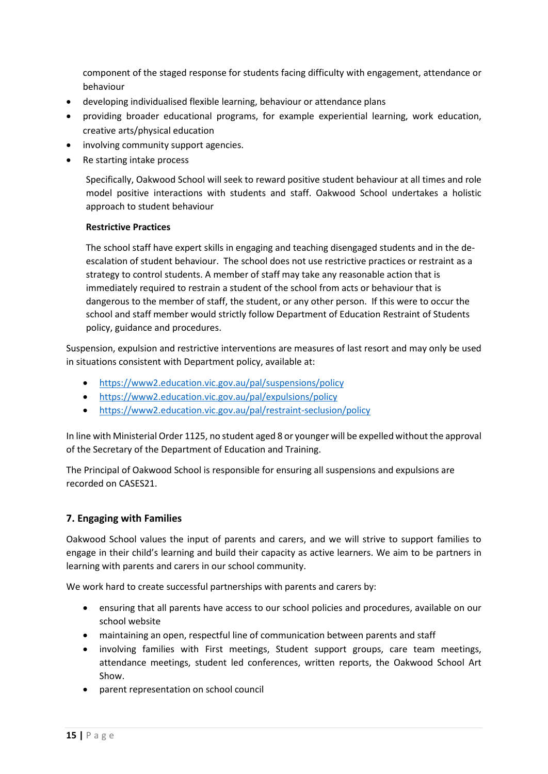component of the staged response for students facing difficulty with engagement, attendance or behaviour

- developing individualised flexible learning, behaviour or attendance plans
- providing broader educational programs, for example experiential learning, work education, creative arts/physical education
- involving community support agencies.
- Re starting intake process

Specifically, Oakwood School will seek to reward positive student behaviour at all times and role model positive interactions with students and staff. Oakwood School undertakes a holistic approach to student behaviour

#### **Restrictive Practices**

The school staff have expert skills in engaging and teaching disengaged students and in the deescalation of student behaviour. The school does not use restrictive practices or restraint as a strategy to control students. A member of staff may take any reasonable action that is immediately required to restrain a student of the school from acts or behaviour that is dangerous to the member of staff, the student, or any other person. If this were to occur the school and staff member would strictly follow Department of Education Restraint of Students policy, guidance and procedures.

Suspension, expulsion and restrictive interventions are measures of last resort and may only be used in situations consistent with Department policy, available at:

- <https://www2.education.vic.gov.au/pal/suspensions/policy>
- <https://www2.education.vic.gov.au/pal/expulsions/policy>
- <https://www2.education.vic.gov.au/pal/restraint-seclusion/policy>

In line with Ministerial Order 1125, no student aged 8 or younger will be expelled without the approval of the Secretary of the Department of Education and Training.

The Principal of Oakwood School is responsible for ensuring all suspensions and expulsions are recorded on CASES21.

## **7. Engaging with Families**

Oakwood School values the input of parents and carers, and we will strive to support families to engage in their child's learning and build their capacity as active learners. We aim to be partners in learning with parents and carers in our school community.

We work hard to create successful partnerships with parents and carers by:

- ensuring that all parents have access to our school policies and procedures, available on our school website
- maintaining an open, respectful line of communication between parents and staff
- involving families with First meetings, Student support groups, care team meetings, attendance meetings, student led conferences, written reports, the Oakwood School Art Show.
- parent representation on school council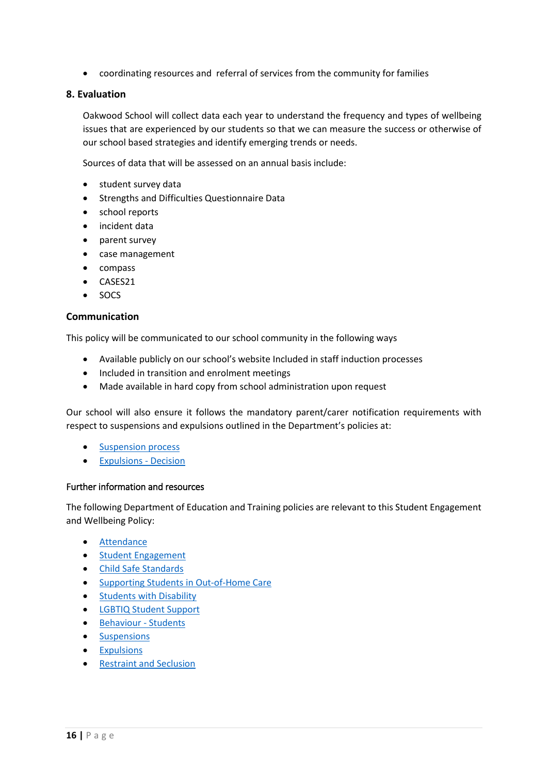• coordinating resources and referral of services from the community for families

## **8. Evaluation**

Oakwood School will collect data each year to understand the frequency and types of wellbeing issues that are experienced by our students so that we can measure the success or otherwise of our school based strategies and identify emerging trends or needs.

Sources of data that will be assessed on an annual basis include:

- student survey data
- Strengths and Difficulties Questionnaire Data
- school reports
- incident data
- parent survey
- case management
- compass
- CASES21
- SOCS

#### **Communication**

This policy will be communicated to our school community in the following ways

- Available publicly on our school's website Included in staff induction processes
- Included in transition and enrolment meetings
- Made available in hard copy from school administration upon request

Our school will also ensure it follows the mandatory parent/carer notification requirements with respect to suspensions and expulsions outlined in the Department's policies at:

- **[Suspension process](https://www2.education.vic.gov.au/pal/suspensions/guidance/1-suspension-process)**
- [Expulsions -](https://www2.education.vic.gov.au/pal/expulsions/guidance/decision) Decision

#### Further information and resources

The following Department of Education and Training policies are relevant to this Student Engagement and Wellbeing Policy:

- [Attendance](https://www2.education.vic.gov.au/pal/attendance/policy)
- [Student Engagement](https://www2.education.vic.gov.au/pal/student-engagement/policy)
- [Child Safe Standards](https://www2.education.vic.gov.au/pal/child-safe-standards/policy)
- [Supporting Students in Out-of-Home Care](https://www2.education.vic.gov.au/pal/supporting-students-out-home-care/policy)
- [Students with Disability](https://www2.education.vic.gov.au/pal/students-disability/policy)
- [LGBTIQ Student Support](https://www2.education.vic.gov.au/pal/lgbtiq-student-support/policy)
- [Behaviour -](https://www2.education.vic.gov.au/pal/behaviour-students/policy) Students
- [Suspensions](https://www2.education.vic.gov.au/pal/suspensions/policy)
- [Expulsions](https://www2.education.vic.gov.au/pal/expulsions/policy)
- [Restraint and Seclusion](https://www2.education.vic.gov.au/pal/restraint-seclusion/policy)